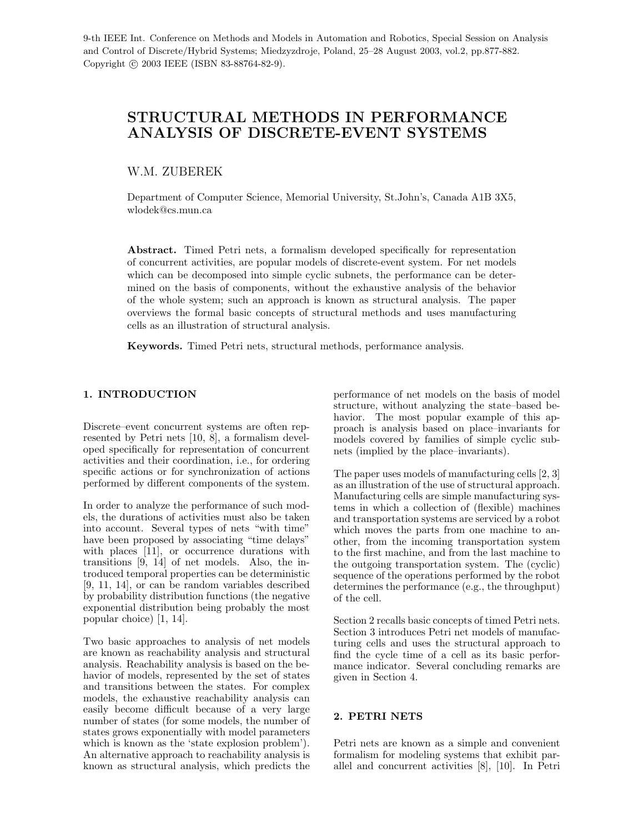9-th IEEE Int. Conference on Methods and Models in Automation and Robotics, Special Session on Analysis and Control of Discrete/Hybrid Systems; Miedzyzdroje, Poland, 25–28 August 2003, vol.2, pp.877-882. Copyright © 2003 IEEE (ISBN 83-88764-82-9).

# STRUCTURAL METHODS IN PERFORMANCE ANALYSIS OF DISCRETE-EVENT SYSTEMS

W.M. ZUBEREK

Department of Computer Science, Memorial University, St.John's, Canada A1B 3X5, wlodek@cs.mun.ca

Abstract. Timed Petri nets, a formalism developed specifically for representation of concurrent activities, are popular models of discrete-event system. For net models which can be decomposed into simple cyclic subnets, the performance can be determined on the basis of components, without the exhaustive analysis of the behavior of the whole system; such an approach is known as structural analysis. The paper overviews the formal basic concepts of structural methods and uses manufacturing cells as an illustration of structural analysis.

Keywords. Timed Petri nets, structural methods, performance analysis.

## 1. INTRODUCTION

Discrete–event concurrent systems are often represented by Petri nets [10, 8], a formalism developed specifically for representation of concurrent activities and their coordination, i.e., for ordering specific actions or for synchronization of actions performed by different components of the system.

In order to analyze the performance of such models, the durations of activities must also be taken into account. Several types of nets "with time" have been proposed by associating "time delays" with places [11], or occurrence durations with transitions  $[9, 14]$  of net models. Also, the introduced temporal properties can be deterministic [9, 11, 14], or can be random variables described by probability distribution functions (the negative exponential distribution being probably the most popular choice) [1, 14].

Two basic approaches to analysis of net models are known as reachability analysis and structural analysis. Reachability analysis is based on the behavior of models, represented by the set of states and transitions between the states. For complex models, the exhaustive reachability analysis can easily become difficult because of a very large number of states (for some models, the number of states grows exponentially with model parameters which is known as the 'state explosion problem'). An alternative approach to reachability analysis is known as structural analysis, which predicts the

performance of net models on the basis of model structure, without analyzing the state–based behavior. The most popular example of this approach is analysis based on place–invariants for models covered by families of simple cyclic subnets (implied by the place–invariants).

The paper uses models of manufacturing cells [2, 3] as an illustration of the use of structural approach. Manufacturing cells are simple manufacturing systems in which a collection of (flexible) machines and transportation systems are serviced by a robot which moves the parts from one machine to another, from the incoming transportation system to the first machine, and from the last machine to the outgoing transportation system. The (cyclic) sequence of the operations performed by the robot determines the performance (e.g., the throughput) of the cell.

Section 2 recalls basic concepts of timed Petri nets. Section 3 introduces Petri net models of manufacturing cells and uses the structural approach to find the cycle time of a cell as its basic performance indicator. Several concluding remarks are given in Section 4.

## 2. PETRI NETS

Petri nets are known as a simple and convenient formalism for modeling systems that exhibit parallel and concurrent activities [8], [10]. In Petri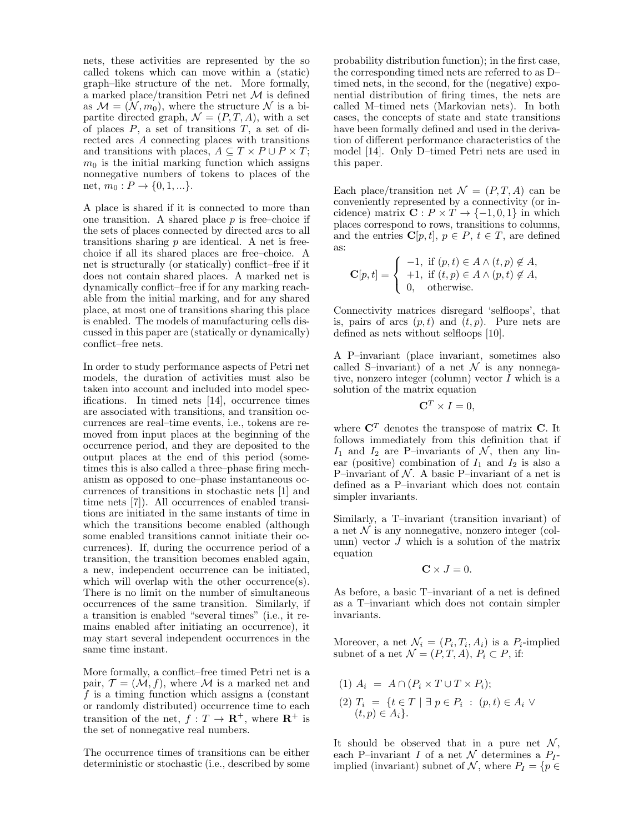nets, these activities are represented by the so called tokens which can move within a (static) graph–like structure of the net. More formally, a marked place/transition Petri net  $\mathcal M$  is defined as  $\mathcal{M} = (\mathcal{N}, m_0)$ , where the structure  $\mathcal N$  is a bipartite directed graph,  $\mathcal{N} = (P, T, A)$ , with a set of places  $P$ , a set of transitions  $T$ , a set of directed arcs A connecting places with transitions and transitions with places,  $A \subseteq T \times P \cup P \times T$ ;  $m_0$  is the initial marking function which assigns nonnegative numbers of tokens to places of the net,  $m_0: P \to \{0, 1, ...\}.$ 

A place is shared if it is connected to more than one transition. A shared place  $p$  is free–choice if the sets of places connected by directed arcs to all transitions sharing  $p$  are identical. A net is freechoice if all its shared places are free–choice. A net is structurally (or statically) conflict–free if it does not contain shared places. A marked net is dynamically conflict–free if for any marking reachable from the initial marking, and for any shared place, at most one of transitions sharing this place is enabled. The models of manufacturing cells discussed in this paper are (statically or dynamically) conflict–free nets.

In order to study performance aspects of Petri net models, the duration of activities must also be taken into account and included into model specifications. In timed nets [14], occurrence times are associated with transitions, and transition occurrences are real–time events, i.e., tokens are removed from input places at the beginning of the occurrence period, and they are deposited to the output places at the end of this period (sometimes this is also called a three–phase firing mechanism as opposed to one–phase instantaneous occurrences of transitions in stochastic nets [1] and time nets [7]). All occurrences of enabled transitions are initiated in the same instants of time in which the transitions become enabled (although some enabled transitions cannot initiate their occurrences). If, during the occurrence period of a transition, the transition becomes enabled again, a new, independent occurrence can be initiated, which will overlap with the other occurrence(s). There is no limit on the number of simultaneous occurrences of the same transition. Similarly, if a transition is enabled "several times" (i.e., it remains enabled after initiating an occurrence), it may start several independent occurrences in the same time instant.

More formally, a conflict–free timed Petri net is a pair,  $\mathcal{T} = (\mathcal{M}, f)$ , where M is a marked net and  $f$  is a timing function which assigns a (constant or randomly distributed) occurrence time to each transition of the net,  $f: T \to \mathbf{R}^+$ , where  $\mathbf{R}^+$  is the set of nonnegative real numbers.

The occurrence times of transitions can be either deterministic or stochastic (i.e., described by some

probability distribution function); in the first case, the corresponding timed nets are referred to as D– timed nets, in the second, for the (negative) exponential distribution of firing times, the nets are called M–timed nets (Markovian nets). In both cases, the concepts of state and state transitions have been formally defined and used in the derivation of different performance characteristics of the model [14]. Only D–timed Petri nets are used in this paper.

Each place/transition net  $\mathcal{N} = (P, T, A)$  can be conveniently represented by a connectivity (or incidence) matrix  $\mathbf{C}: P \times T \to \{-1, 0, 1\}$  in which places correspond to rows, transitions to columns, and the entries  $\mathbf{C}[p, t], p \in P, t \in T$ , are defined as:

$$
\mathbf{C}[p,t] = \begin{cases} -1, & \text{if } (p,t) \in A \land (t,p) \notin A, \\ +1, & \text{if } (t,p) \in A \land (p,t) \notin A, \\ 0, & \text{otherwise.} \end{cases}
$$

Connectivity matrices disregard 'selfloops', that is, pairs of arcs  $(p, t)$  and  $(t, p)$ . Pure nets are defined as nets without selfloops [10].

A P–invariant (place invariant, sometimes also called S–invariant) of a net  $\mathcal N$  is any nonnegative, nonzero integer (column) vector  $I$  which is a solution of the matrix equation

$$
\mathbf{C}^T \times I = 0,
$$

where  $\mathbf{C}^T$  denotes the transpose of matrix **C**. It follows immediately from this definition that if  $I_1$  and  $I_2$  are P-invariants of  $\mathcal{N}$ , then any linear (positive) combination of  $I_1$  and  $I_2$  is also a P–invariant of  $N$ . A basic P–invariant of a net is defined as a P–invariant which does not contain simpler invariants.

Similarly, a T–invariant (transition invariant) of a net  $\mathcal N$  is any nonnegative, nonzero integer (column) vector  $J$  which is a solution of the matrix equation

$$
\mathbf{C} \times J = 0.
$$

As before, a basic T–invariant of a net is defined as a T–invariant which does not contain simpler invariants.

Moreover, a net  $\mathcal{N}_i = (P_i, T_i, A_i)$  is a  $P_i$ -implied subnet of a net  $\mathcal{N} = (P, T, A), P_i \subset P$ , if:

$$
(1) A_i = A \cap (P_i \times T \cup T \times P_i);
$$

$$
(2) T_i = \{ t \in T \mid \exists p \in P_i : (p, t) \in A_i \lor (t, p) \in A_i \}.
$$

It should be observed that in a pure net  $\mathcal{N}$ , each P–invariant I of a net  $\mathcal N$  determines a  $P_I$ implied (invariant) subnet of  $\mathcal{N}$ , where  $P_I = \{p \in$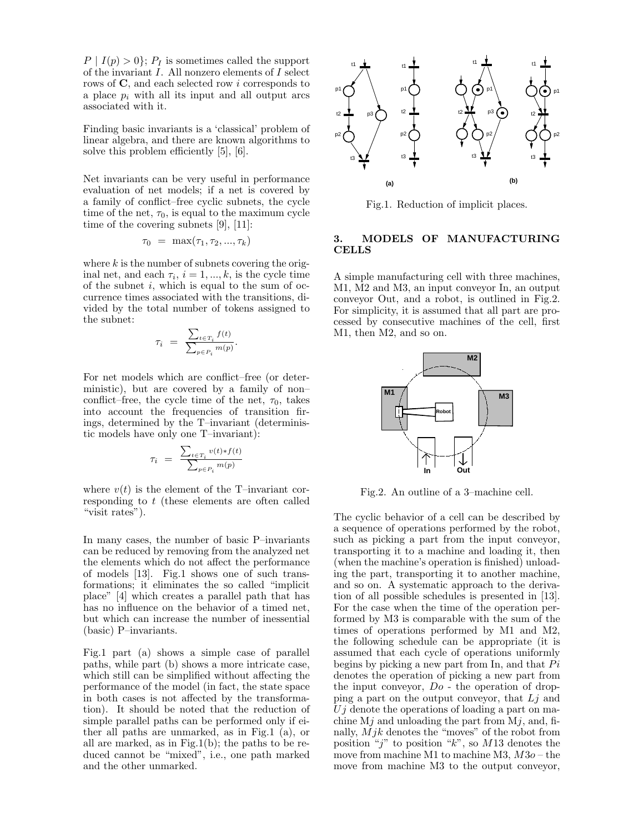$P | I(p) > 0$ ;  $P_I$  is sometimes called the support of the invariant  $I$ . All nonzero elements of  $I$  select rows of C, and each selected row i corresponds to a place  $p_i$  with all its input and all output arcs associated with it.

Finding basic invariants is a 'classical' problem of linear algebra, and there are known algorithms to solve this problem efficiently [5], [6].

Net invariants can be very useful in performance evaluation of net models; if a net is covered by a family of conflict–free cyclic subnets, the cycle time of the net,  $\tau_0$ , is equal to the maximum cycle time of the covering subnets [9], [11]:

$$
\tau_0 = \max(\tau_1, \tau_2, ..., \tau_k)
$$

where  $k$  is the number of subnets covering the original net, and each  $\tau_i$ ,  $i = 1, ..., k$ , is the cycle time of the subnet  $i$ , which is equal to the sum of occurrence times associated with the transitions, divided by the total number of tokens assigned to the subnet:

$$
\tau_i = \frac{\sum_{t \in T_i} f(t)}{\sum_{p \in P_i} m(p)}
$$

.

For net models which are conflict–free (or deterministic), but are covered by a family of non– conflict–free, the cycle time of the net,  $\tau_0$ , takes into account the frequencies of transition firings, determined by the T–invariant (deterministic models have only one T–invariant):

$$
\tau_i = \frac{\sum_{t \in T_i} v(t) * f(t)}{\sum_{p \in P_i} m(p)}
$$

where  $v(t)$  is the element of the T–invariant corresponding to t (these elements are often called "visit rates").

In many cases, the number of basic P–invariants can be reduced by removing from the analyzed net the elements which do not affect the performance of models [13]. Fig.1 shows one of such transformations; it eliminates the so called "implicit place" [4] which creates a parallel path that has has no influence on the behavior of a timed net, but which can increase the number of inessential (basic) P–invariants.

Fig.1 part (a) shows a simple case of parallel paths, while part (b) shows a more intricate case, which still can be simplified without affecting the performance of the model (in fact, the state space in both cases is not affected by the transformation). It should be noted that the reduction of simple parallel paths can be performed only if either all paths are unmarked, as in Fig.1 (a), or all are marked, as in Fig.1(b); the paths to be reduced cannot be "mixed", i.e., one path marked and the other unmarked.



Fig.1. Reduction of implicit places.

#### 3. MODELS OF MANUFACTURING CELLS

A simple manufacturing cell with three machines, M1, M2 and M3, an input conveyor In, an output conveyor Out, and a robot, is outlined in Fig.2. For simplicity, it is assumed that all part are processed by consecutive machines of the cell, first M1, then M2, and so on.



Fig.2. An outline of a 3–machine cell.

The cyclic behavior of a cell can be described by a sequence of operations performed by the robot, such as picking a part from the input conveyor, transporting it to a machine and loading it, then (when the machine's operation is finished) unloading the part, transporting it to another machine, and so on. A systematic approach to the derivation of all possible schedules is presented in [13]. For the case when the time of the operation performed by M3 is comparable with the sum of the times of operations performed by M1 and M2, the following schedule can be appropriate (it is assumed that each cycle of operations uniformly begins by picking a new part from In, and that  $Pi$ denotes the operation of picking a new part from the input conveyor, Do - the operation of dropping a part on the output conveyor, that  $Lj$  and  $Uj$  denote the operations of loading a part on machine  $Mj$  and unloading the part from  $Mj$ , and, finally,  $Mjk$  denotes the "moves" of the robot from position "j" to position "k", so  $M13$  denotes the move from machine M1 to machine M3,  $M3o$  – the move from machine M3 to the output conveyor,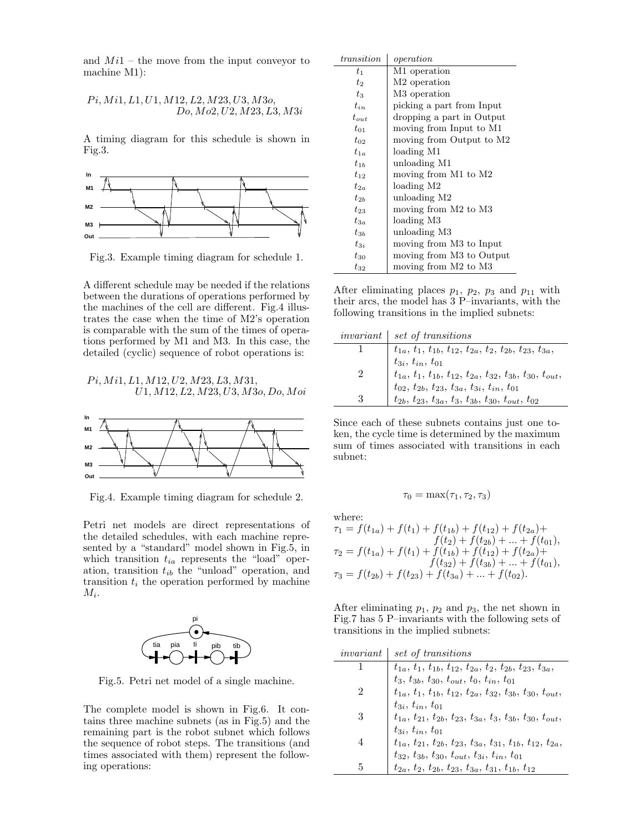and  $Mi1$  – the move from the input conveyor to machine M1):

$$
Pi, Mi1, L1, U1, M12, L2, M23, U3, M3o, Do, Mo2, U2, M23, L3, M3i
$$

A timing diagram for this schedule is shown in Fig.3.



Fig.3. Example timing diagram for schedule 1.

A different schedule may be needed if the relations between the durations of operations performed by the machines of the cell are different. Fig.4 illustrates the case when the time of M2's operation is comparable with the sum of the times of operations performed by M1 and M3. In this case, the detailed (cyclic) sequence of robot operations is:

 $Pi, Mi1, L1, M12, U2, M23, L3, M31,$ U1, M12, L2, M23, U3, M3o, Do, Moi



Fig.4. Example timing diagram for schedule 2.

Petri net models are direct representations of the detailed schedules, with each machine represented by a "standard" model shown in Fig.5, in which transition  $t_{ia}$  represents the "load" operation, transition  $t_{ib}$  the "unload" operation, and transition  $t_i$  the operation performed by machine  $M_i$ .



Fig.5. Petri net model of a single machine.

The complete model is shown in Fig.6. It contains three machine subnets (as in Fig.5) and the remaining part is the robot subnet which follows the sequence of robot steps. The transitions (and times associated with them) represent the following operations:

| transition | operation                 |
|------------|---------------------------|
| $t_{1}$    | M1 operation              |
| t2         | M <sub>2</sub> operation  |
| $t_{3}$    | M <sub>3</sub> operation  |
| $t_{in}$   | picking a part from Input |
| $t_{out}$  | dropping a part in Output |
| $t_{01}$   | moving from Input to M1   |
| $t_{02}$   | moving from Output to M2  |
| $t_{1a}$   | loading M1                |
| $t_{1b}$   | unloading M1              |
| $t_{12}$   | moving from M1 to M2      |
| $t_{2a}$   | loading M2                |
| $t_{2h}$   | unloading M2              |
| $t_{23}$   | moving from M2 to M3      |
| $t_{3a}$   | loading M3                |
| $t_{3b}$   | unloading M3              |
| $t_{3i}$   | moving from M3 to Input   |
| $t_{30}$   | moving from M3 to Output  |
| $t_{32}$   | moving from M2 to M3      |

After eliminating places  $p_1$ ,  $p_2$ ,  $p_3$  and  $p_{11}$  with their arcs, the model has 3 P–invariants, with the following transitions in the implied subnets:

| invariant | set of transitions                                                                                                                                                                                                              |
|-----------|---------------------------------------------------------------------------------------------------------------------------------------------------------------------------------------------------------------------------------|
|           | $\begin{array}{l} t_{1a},\,t_1,\,t_{1b},\,t_{12},\,t_{2a},\,t_2,\,t_{2b},\,t_{23},\,\overline{t_{3a}},\ t_{3i},\,t_{in},\,t_{01} \end{array}$                                                                                   |
|           |                                                                                                                                                                                                                                 |
|           |                                                                                                                                                                                                                                 |
|           |                                                                                                                                                                                                                                 |
|           | $\begin{bmatrix} t_{1a}, t_1, t_{1b}, t_{12}, t_{2a}, t_{32}, t_{3b}, t_{30}, t_{out}, \ t_{02}, t_{2b}, t_{23}, t_{3a}, t_{3i}, t_{in}, t_{01} \ t_{2b}, t_{23}, t_{3a}, t_{3}, t_{3b}, t_{30}, t_{out}, t_{02} \end{bmatrix}$ |

Since each of these subnets contains just one token, the cycle time is determined by the maximum sum of times associated with transitions in each subnet:

$$
\tau_0 = \max(\tau_1, \tau_2, \tau_3)
$$

where:

$$
\tau_1 = f(t_{1a}) + f(t_1) + f(t_{1b}) + f(t_{12}) + f(t_{2a}) +\nf(t_2) + f(t_{2b}) + \dots + f(t_{01}),
$$
\n
$$
\tau_2 = f(t_{1a}) + f(t_1) + f(t_{1b}) + f(t_{12}) + f(t_{2a}) +\nf(t_{32}) + f(t_{3b}) + \dots + f(t_{01}),
$$
\n
$$
\tau_3 = f(t_{2b}) + f(t_{23}) + f(t_{3a}) + \dots + f(t_{02}).
$$

After eliminating  $p_1$ ,  $p_2$  and  $p_3$ , the net shown in Fig.7 has 5 P–invariants with the following sets of transitions in the implied subnets:

| invariant |  | set of transitions |
|-----------|--|--------------------|
|-----------|--|--------------------|

| $t_{1a}, t_1, t_{1b}, t_{12}, t_{2a}, t_2, t_{2b}, t_{23}, t_{3a},$       |
|---------------------------------------------------------------------------|
| $t_3, t_{3b}, t_{30}, t_{out}, t_0, t_{in}, t_{01}$                       |
| $t_{1a}, t_1, t_{1b}, t_{12}, t_{2a}, t_{32}, t_{3b}, t_{30}, t_{out},$   |
| $t_{3i}, t_{in}, t_{01}$                                                  |
| $t_{1a}, t_{21}, t_{2b}, t_{23}, t_{3a}, t_3, t_{3b}, t_{30}, t_{out},$   |
| $t_{3i}, t_{in}, t_{01}$                                                  |
| $t_{1a}, t_{21}, t_{2b}, t_{23}, t_{3a}, t_{31}, t_{1b}, t_{12}, t_{2a},$ |
| $t_{32}, t_{3b}, t_{30}, t_{out}, t_{3i}, t_{in}, t_{01}$                 |
| $t_{2a}, t_2, t_{2b}, t_{23}, t_{3a}, t_{31}, t_{1b}, t_{12}$             |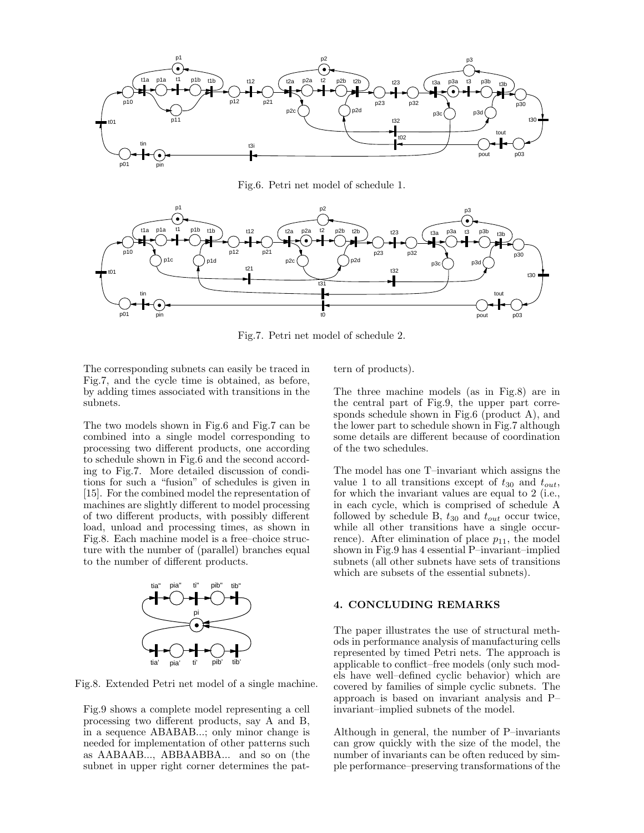

Fig.6. Petri net model of schedule 1.



Fig.7. Petri net model of schedule 2.

The corresponding subnets can easily be traced in Fig.7, and the cycle time is obtained, as before, by adding times associated with transitions in the subnets.

The two models shown in Fig.6 and Fig.7 can be combined into a single model corresponding to processing two different products, one according to schedule shown in Fig.6 and the second according to Fig.7. More detailed discussion of conditions for such a "fusion" of schedules is given in [15]. For the combined model the representation of machines are slightly different to model processing of two different products, with possibly different load, unload and processing times, as shown in Fig.8. Each machine model is a free–choice structure with the number of (parallel) branches equal to the number of different products.



Fig.8. Extended Petri net model of a single machine.

Fig.9 shows a complete model representing a cell processing two different products, say A and B, in a sequence ABABAB...; only minor change is needed for implementation of other patterns such as AABAAB..., ABBAABBA... and so on (the subnet in upper right corner determines the pattern of products).

The three machine models (as in Fig.8) are in the central part of Fig.9, the upper part corresponds schedule shown in Fig.6 (product A), and the lower part to schedule shown in Fig.7 although some details are different because of coordination of the two schedules.

The model has one T–invariant which assigns the value 1 to all transitions except of  $t_{30}$  and  $t_{out}$ , for which the invariant values are equal to 2 (i.e., in each cycle, which is comprised of schedule A followed by schedule B,  $t_{30}$  and  $t_{out}$  occur twice, while all other transitions have a single occurrence). After elimination of place  $p_{11}$ , the model shown in Fig.9 has 4 essential P–invariant–implied subnets (all other subnets have sets of transitions which are subsets of the essential subnets).

#### 4. CONCLUDING REMARKS

The paper illustrates the use of structural methods in performance analysis of manufacturing cells represented by timed Petri nets. The approach is applicable to conflict–free models (only such models have well–defined cyclic behavior) which are covered by families of simple cyclic subnets. The approach is based on invariant analysis and P– invariant–implied subnets of the model.

Although in general, the number of P–invariants can grow quickly with the size of the model, the number of invariants can be often reduced by simple performance–preserving transformations of the